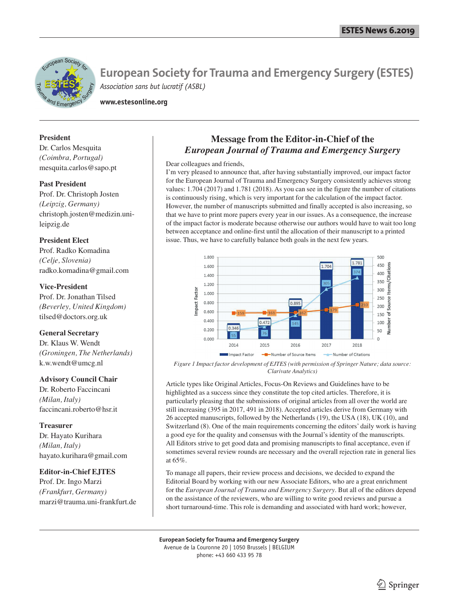

**www.estesonline.org**

## **President**

Dr. Carlos Mesquita *(Coimbra, Portugal)* mesquita.carlos@sapo.pt

## **Past President**

Prof. Dr. Christoph Josten *(Leipzig, Germany)* christoph.josten@medizin.unileipzig.de

## **President Elect**

Prof. Radko Komadina *(Celje, Slovenia)* radko.komadina@gmail.com

## **Vice-President**

Prof. Dr. Jonathan Tilsed *(Beverley, United Kingdom)* tilsed@doctors.org.uk

## **General Secretary**

Dr. Klaus W. Wendt *(Groningen, The Netherlands)* k.w.wendt@umcg.nl

## **Advisory Council Chair**

Dr. Roberto Faccincani *(Milan, Italy)* faccincani.roberto@hsr.it

## **Treasurer**

Dr. Hayato Kurihara *(Milan, Italy)* hayato.kurihara@gmail.com

## **Editor-in-Chief EJTES**

Prof. Dr. Ingo Marzi *(Frankfurt, Germany)* marzi@trauma.uni-frankfurt.de

## **Message from the Editor-in-Chief of the** *European Journal of Trauma and Emergency Surgery*

Dear colleagues and friends,

I'm very pleased to announce that, after having substantially improved, our impact factor for the European Journal of Trauma and Emergency Surgery consistently achieves strong values: 1.704 (2017) and 1.781 (2018). As you can see in the figure the number of citations is continuously rising, which is very important for the calculation of the impact factor. However, the number of manuscripts submitted and finally accepted is also increasing, so that we have to print more papers every year in our issues. As a consequence, the increase of the impact factor is moderate because otherwise our authors would have to wait too long between acceptance and online-first until the allocation of their manuscript to a printed issue. Thus, we have to carefully balance both goals in the next few years.



*Figure 1 Impact factor development of EJTES (with permission of Springer Nature; data source: Clarivate Analytics)*

Article types like Original Articles, Focus-On Reviews and Guidelines have to be highlighted as a success since they constitute the top cited articles. Therefore, it is particularly pleasing that the submissions of original articles from all over the world are still increasing (395 in 2017, 491 in 2018). Accepted articles derive from Germany with 26 accepted manuscripts, followed by the Netherlands (19), the USA (18), UK (10), and Switzerland (8). One of the main requirements concerning the editors' daily work is having a good eye for the quality and consensus with the Journal's identity of the manuscripts. All Editors strive to get good data and promising manuscripts to final acceptance, even if sometimes several review rounds are necessary and the overall rejection rate in general lies at 65%.

To manage all papers, their review process and decisions, we decided to expand the Editorial Board by working with our new Associate Editors, who are a great enrichment for the *European Journal of Trauma and Emergency Surgery*. But all of the editors depend on the assistance of the reviewers, who are willing to write good reviews and pursue a short turnaround-time. This role is demanding and associated with hard work; however,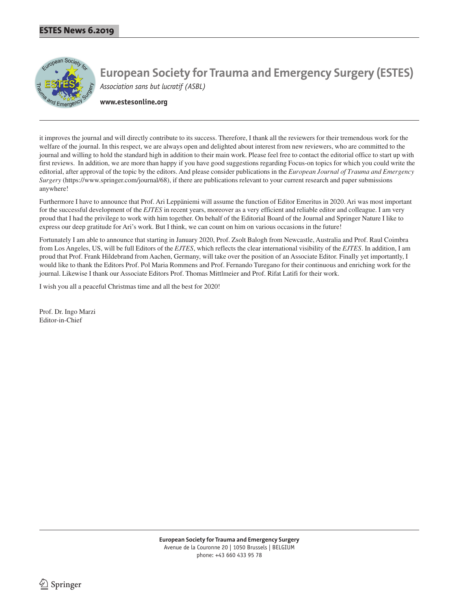

**www.estesonline.org**

it improves the journal and will directly contribute to its success. Therefore, I thank all the reviewers for their tremendous work for the welfare of the journal. In this respect, we are always open and delighted about interest from new reviewers, who are committed to the journal and willing to hold the standard high in addition to their main work. Please feel free to contact the editorial office to start up with first reviews. In addition, we are more than happy if you have good suggestions regarding Focus-on topics for which you could write the editorial, after approval of the topic by the editors. And please consider publications in the *European Journal of Trauma and Emergency Surgery* (https://www.springer.com/journal/68), if there are publications relevant to your current research and paper submissions anywhere!

Furthermore I have to announce that Prof. Ari Leppäniemi will assume the function of Editor Emeritus in 2020. Ari was most important for the successful development of the *EJTES* in recent years, moreover as a very efficient and reliable editor and colleague. I am very proud that I had the privilege to work with him together. On behalf of the Editorial Board of the Journal and Springer Nature I like to express our deep gratitude for Ari's work. But I think, we can count on him on various occasions in the future!

Fortunately I am able to announce that starting in January 2020, Prof. Zsolt Balogh from Newcastle, Australia and Prof. Raul Coimbra from Los Angeles, US, will be full Editors of the *EJTES*, which reflects the clear international visibility of the *EJTES*. In addition, I am proud that Prof. Frank Hildebrand from Aachen, Germany, will take over the position of an Associate Editor. Finally yet importantly, I would like to thank the Editors Prof. Pol Maria Rommens and Prof. Fernando Turegano for their continuous and enriching work for the journal. Likewise I thank our Associate Editors Prof. Thomas Mittlmeier and Prof. Rifat Latifi for their work.

I wish you all a peaceful Christmas time and all the best for 2020!

Prof. Dr. Ingo Marzi Editor-in-Chief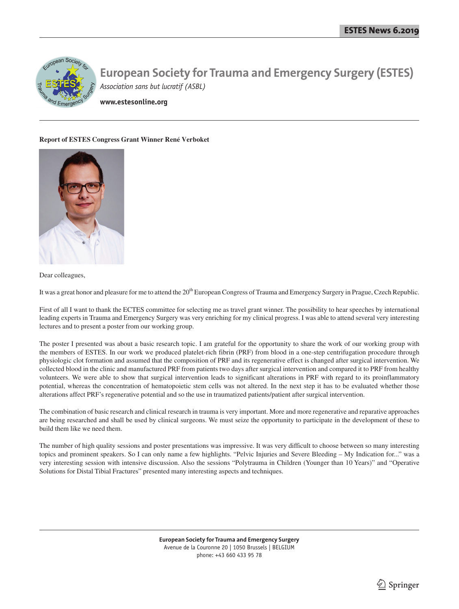

**www.estesonline.org**

#### **Report of ESTES Congress Grant Winner René Verboket**



Dear colleagues,

It was a great honor and pleasure for me to attend the 20<sup>th</sup> European Congress of Trauma and Emergency Surgery in Prague, Czech Republic.

First of all I want to thank the ECTES committee for selecting me as travel grant winner. The possibility to hear speeches by international leading experts in Trauma and Emergency Surgery was very enriching for my clinical progress. I was able to attend several very interesting lectures and to present a poster from our working group.

The poster I presented was about a basic research topic. I am grateful for the opportunity to share the work of our working group with the members of ESTES. In our work we produced platelet-rich fibrin (PRF) from blood in a one-step centrifugation procedure through physiologic clot formation and assumed that the composition of PRF and its regenerative effect is changed after surgical intervention. We collected blood in the clinic and manufactured PRF from patients two days after surgical intervention and compared it to PRF from healthy volunteers. We were able to show that surgical intervention leads to significant alterations in PRF with regard to its proinflammatory potential, whereas the concentration of hematopoietic stem cells was not altered. In the next step it has to be evaluated whether those alterations affect PRF's regenerative potential and so the use in traumatized patients/patient after surgical intervention.

The combination of basic research and clinical research in trauma is very important. More and more regenerative and reparative approaches are being researched and shall be used by clinical surgeons. We must seize the opportunity to participate in the development of these to build them like we need them.

The number of high quality sessions and poster presentations was impressive. It was very difficult to choose between so many interesting topics and prominent speakers. So I can only name a few highlights. "Pelvic Injuries and Severe Bleeding – My Indication for..." was a very interesting session with intensive discussion. Also the sessions "Polytrauma in Children (Younger than 10 Years)" and "Operative Solutions for Distal Tibial Fractures" presented many interesting aspects and techniques.

> **European Society for Trauma and Emergency Surgery** Avenue de la Couronne 20 | 1050 Brussels | BELGIUM phone: +43 660 433 95 78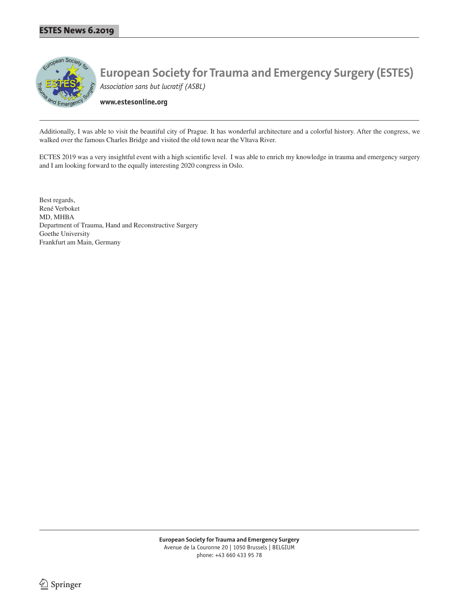

**www.estesonline.org**

Additionally, I was able to visit the beautiful city of Prague. It has wonderful architecture and a colorful history. After the congress, we walked over the famous Charles Bridge and visited the old town near the Vltava River.

ECTES 2019 was a very insightful event with a high scientific level. I was able to enrich my knowledge in trauma and emergency surgery and I am looking forward to the equally interesting 2020 congress in Oslo.

Best regards, René Verboket MD, MHBA Department of Trauma, Hand and Reconstructive Surgery Goethe University Frankfurt am Main, Germany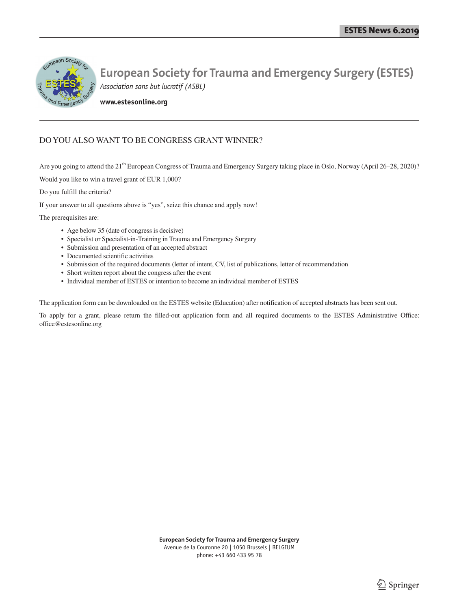

**www.estesonline.org**

## DO YOU ALSO WANT TO BE CONGRESS GRANT WINNER?

Are you going to attend the 21<sup>th</sup> European Congress of Trauma and Emergency Surgery taking place in Oslo, Norway (April 26–28, 2020)?

Would you like to win a travel grant of EUR 1,000?

Do you fulfill the criteria?

If your answer to all questions above is "yes", seize this chance and apply now!

The prerequisites are:

- Age below 35 (date of congress is decisive)
- Specialist or Specialist-in-Training in Trauma and Emergency Surgery
- Submission and presentation of an accepted abstract
- Documented scientific activities
- Submission of the required documents (letter of intent, CV, list of publications, letter of recommendation
- Short written report about the congress after the event
- Individual member of ESTES or intention to become an individual member of ESTES

The application form can be downloaded on the ESTES website (Education) after notification of accepted abstracts has been sent out.

To apply for a grant, please return the filled-out application form and all required documents to the ESTES Administrative Office: office@estesonline.org